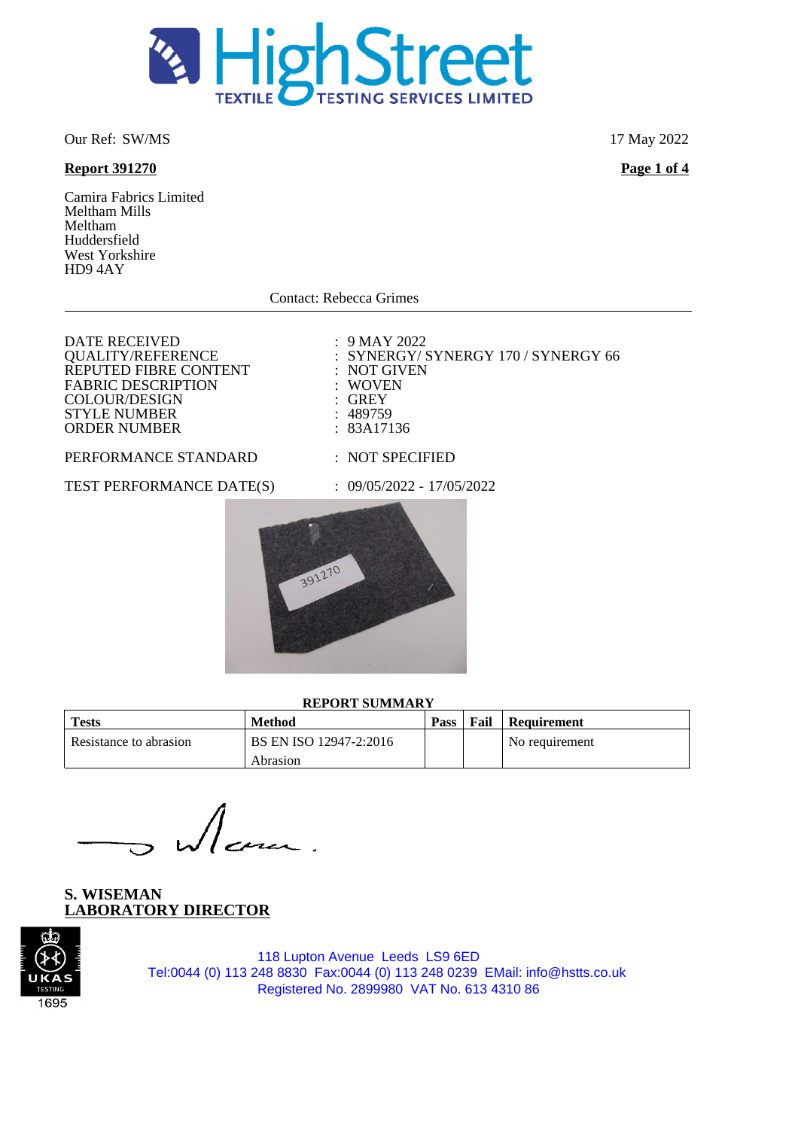

Our Ref: SW/MS 17 May 2022

## **Report 391270 Page 1 of 4**

Camira Fabrics Limited Meltham Mills Meltham Huddersfield West Yorkshire HD9 4AY

Contact: Rebecca Grimes

DATE RECEIVED : 9 MAY 2022<br>QUALITY/REFERENCE : SYNERGY/S : SYNERGY/SYNERGY 170 / SYNERGY 66 REPUTED FIBRE CONTENT : NOT GIVEN<br>FABRIC DESCRIPTION : WOVEN FABRIC DESCRIPTION : WOVE<br>
COLOUR/DESIGN : GREY COLOUR/DESIGN : GREY<br>
STYLE NUMBER : 489759 STYLE NUMBER : 489759<br>
ORDER NUMBER : 83A17136 ORDER NUMBER PERFORMANCE STANDARD : NOT SPECIFIED

TEST PERFORMANCE DATE(S) : 09/05/2022 - 17/05/2022



#### **REPORT SUMMARY**

| <b>Tests</b>           | Method                 | <b>Pass</b> | Fail | Requirement    |
|------------------------|------------------------|-------------|------|----------------|
| Resistance to abrasion | BS EN ISO 12947-2:2016 |             |      | No requirement |
|                        | Abrasion               |             |      |                |

**S. WISEMAN LABORATORY DIRECTOR**

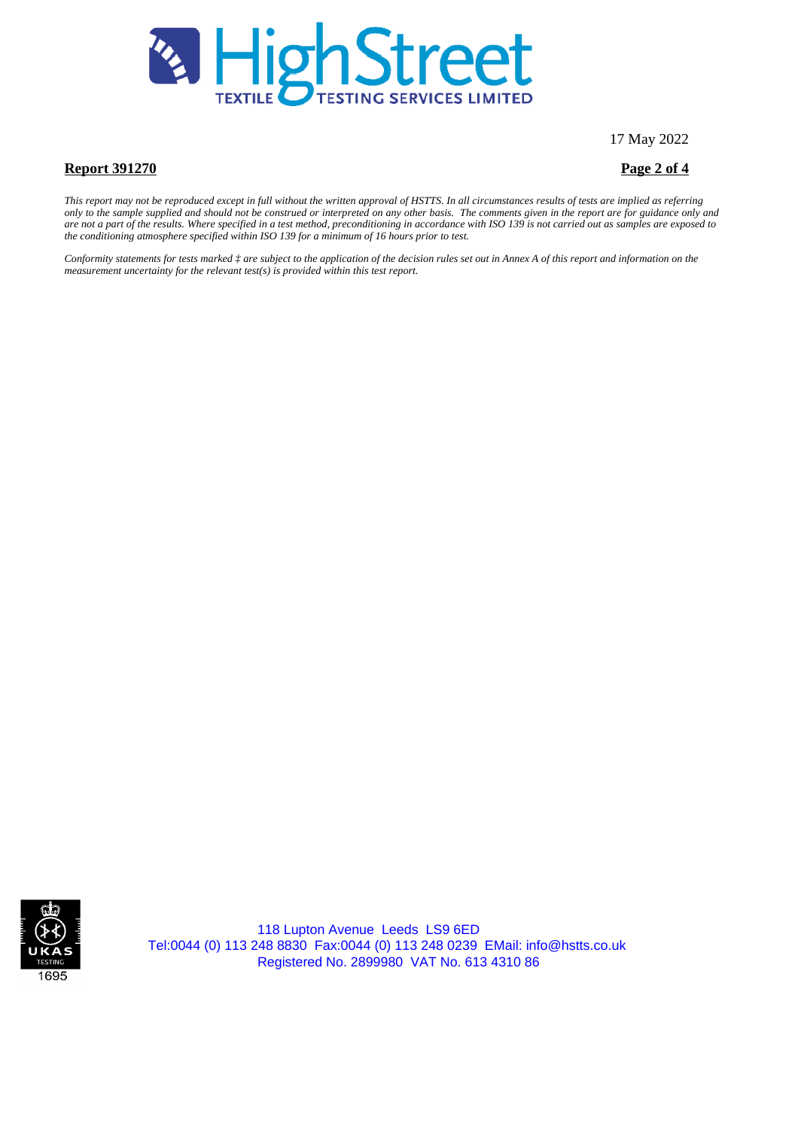

17 May 2022

### **Report 391270 Page 2 of 4**

*This report may not be reproduced except in full without the written approval of HSTTS. In all circumstances results of tests are implied as referring only to the sample supplied and should not be construed or interpreted on any other basis. The comments given in the report are for guidance only and are not a part of the results. Where specified in a test method, preconditioning in accordance with ISO 139 is not carried out as samples are exposed to the conditioning atmosphere specified within ISO 139 for a minimum of 16 hours prior to test.*

*Conformity statements for tests marked ‡ are subject to the application of the decision rules set out in Annex A of this report and information on the measurement uncertainty for the relevant test(s) is provided within this test report.*

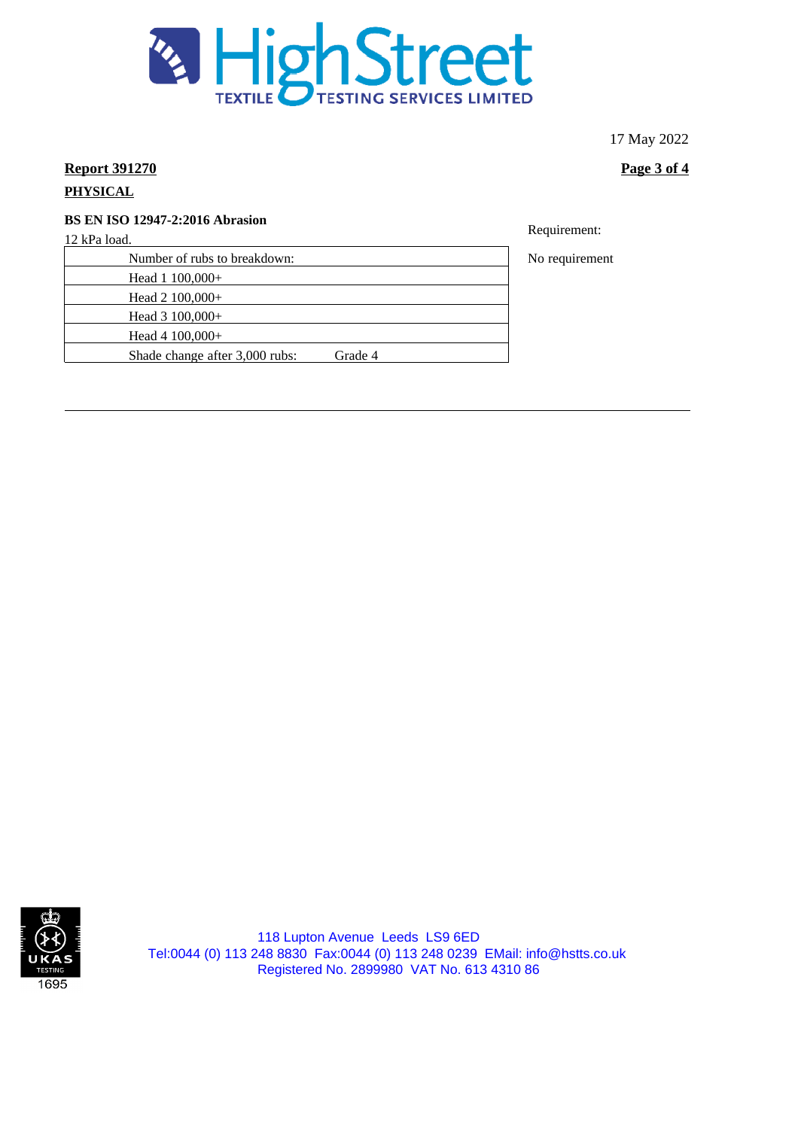

17 May 2022

# **Report 391270 Page 3 of 4**

## **PHYSICAL**

# **BS EN ISO 12947-2:2016 Abrasion**

12 kPa load.

| Number of rubs to breakdown:              |
|-------------------------------------------|
| Head $1\,100,000+$                        |
| Head $2\ 100,000+$                        |
| Head $3\ 100,000+$                        |
| Head 4 $100,000+$                         |
| Shade change after 3,000 rubs:<br>Grade 4 |
|                                           |

Requirement:

No requirement